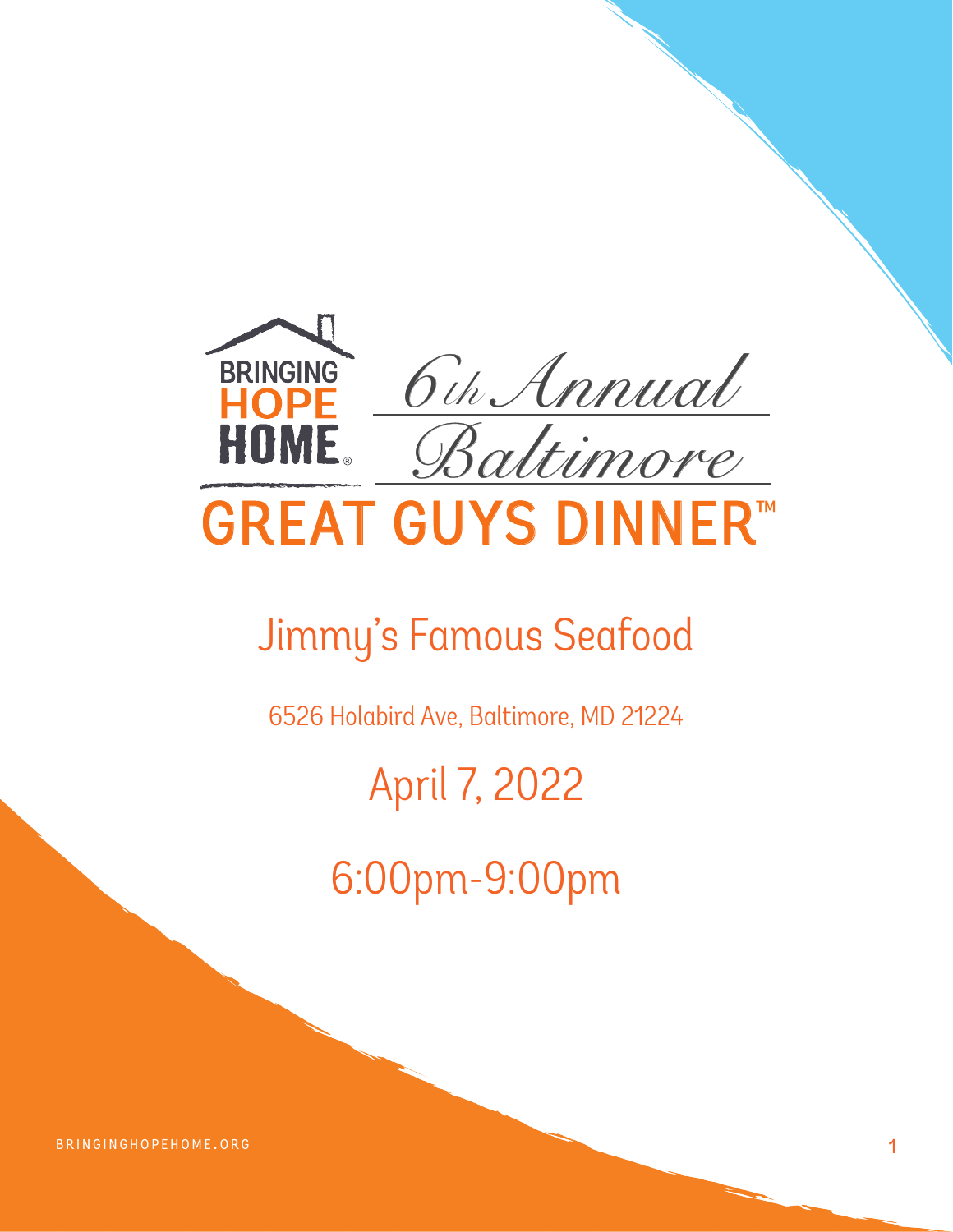

# Jimmy's Famous Seafood

6526 Holabird Ave, Baltimore, MD 21224

# April 7, 2022

6:00pm-9:00pm

BRINGINGHOPEHOME.ORG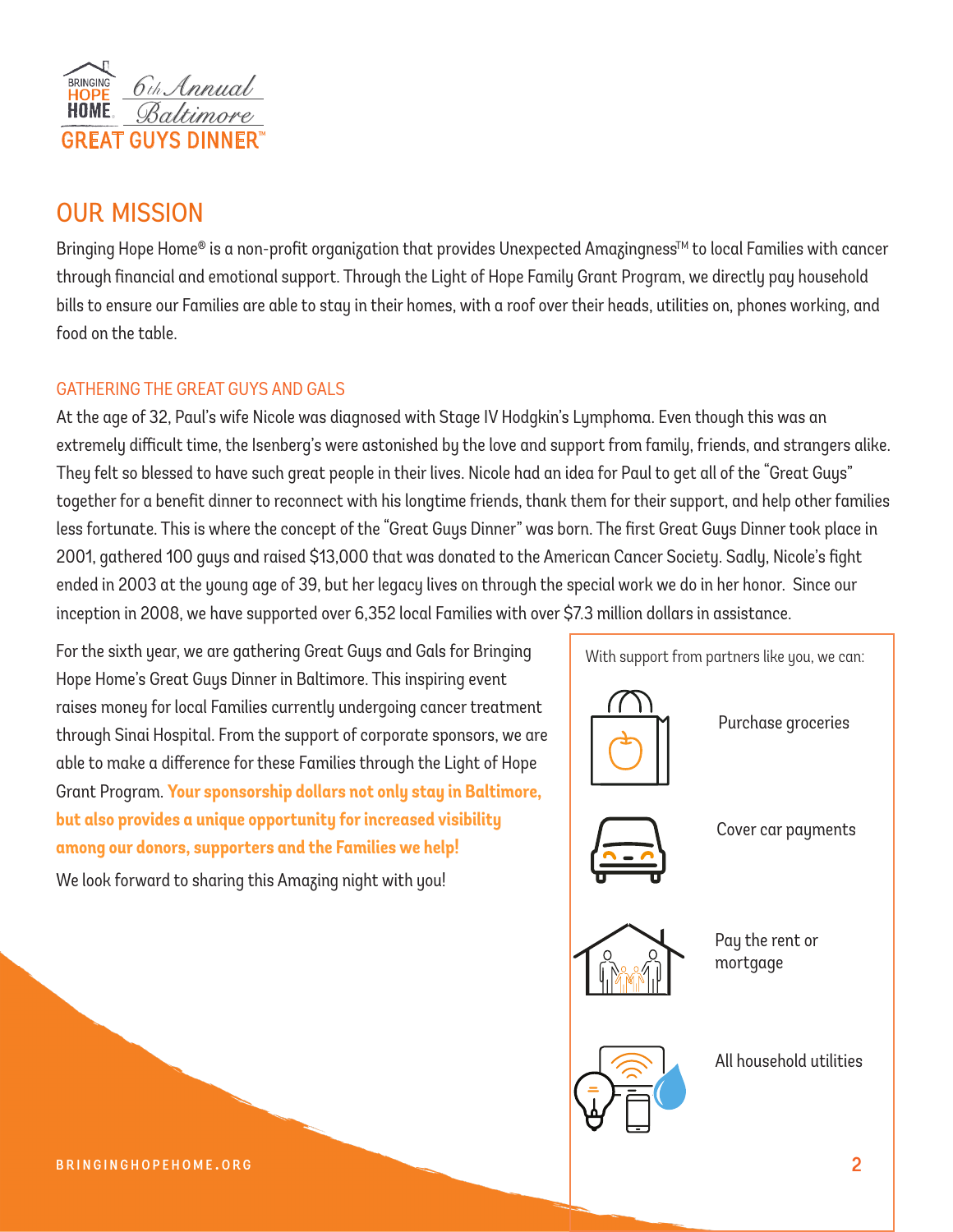

## our mission

Bringing Hope Home® is a non-profit organization that provides Unexpected Amazingness™ to local Families with cancer through financial and emotional support. Through the Light of Hope Family Grant Program, we directly pay household bills to ensure our Families are able to stay in their homes, with a roof over their heads, utilities on, phones working, and food on the table.

#### GATHERING THE GREAT GUYS AND GALS

At the age of 32, Paul's wife Nicole was diagnosed with Stage IV Hodgkin's Lymphoma. Even though this was an extremely difficult time, the Isenberg's were astonished by the love and support from family, friends, and strangers alike. They felt so blessed to have such great people in their lives. Nicole had an idea for Paul to get all of the "Great Guys" together for a benefit dinner to reconnect with his longtime friends, thank them for their support, and help other families less fortunate. This is where the concept of the "Great Guys Dinner" was born. The first Great Guys Dinner took place in 2001, gathered 100 guys and raised \$13,000 that was donated to the American Cancer Society. Sadly, Nicole's fight ended in 2003 at the young age of 39, but her legacy lives on through the special work we do in her honor. Since our inception in 2008, we have supported over 6,352 local Families with over \$7.3 million dollars in assistance.

For the sixth year, we are gathering Great Guys and Gals for Bringing Hope Home's Great Guys Dinner in Baltimore. This inspiring event raises money for local Families currently undergoing cancer treatment through Sinai Hospital. From the support of corporate sponsors, we are able to make a difference for these Families through the Light of Hope Grant Program. **Your sponsorship dollars not only stay in Baltimore, but also provides a unique opportunity for increased visibility among our donors, supporters and the Families we help!**  We look forward to sharing this Amazing night with you!

With support from partners like you, we can: Purchase groceries All household utilities Cover car payments Pay the rent or mortgage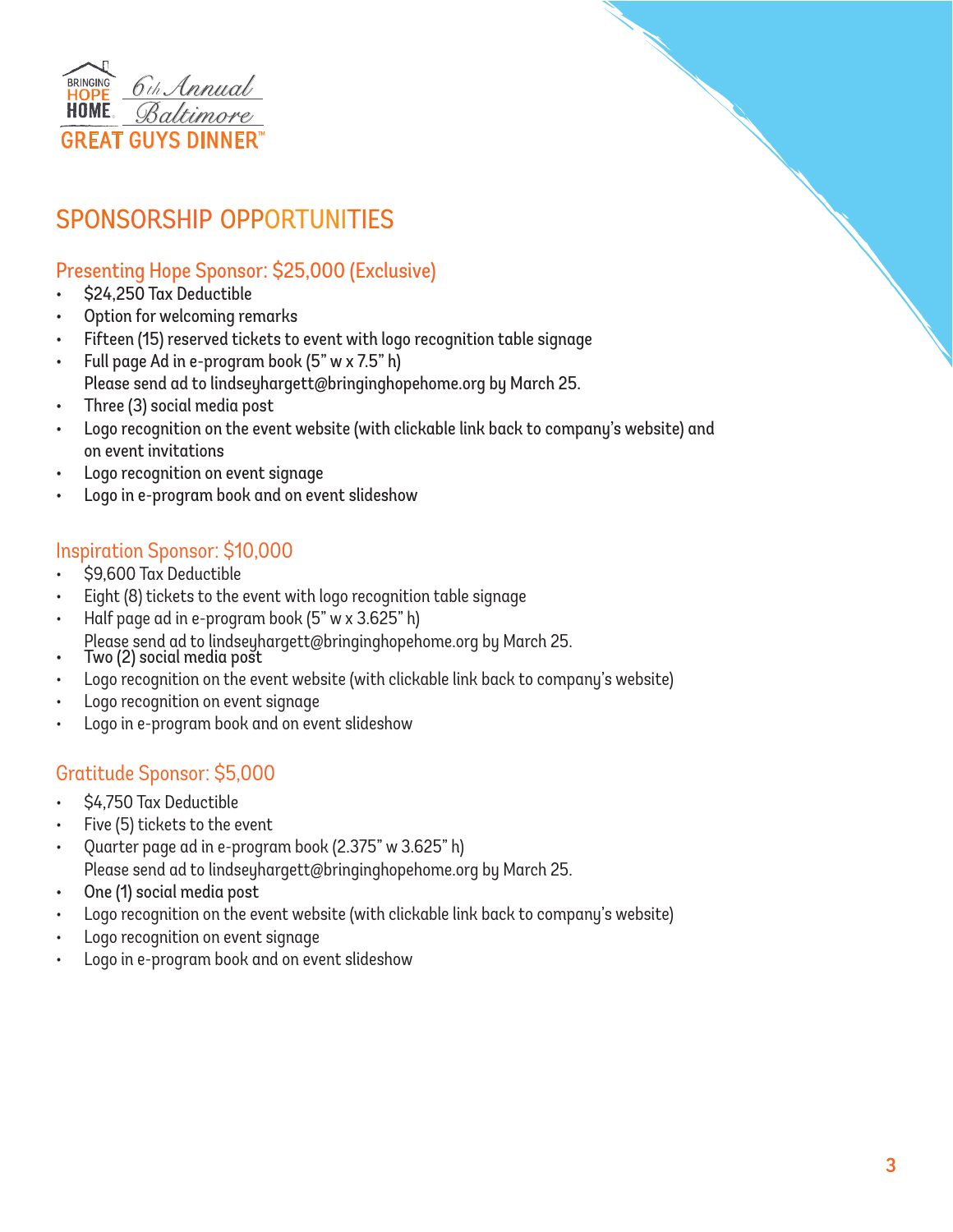

# sponsorship opportunities

## Presenting Hope Sponsor: \$25,000 (Exclusive)

- \$24,250 Tax Deductible
- Option for welcoming remarks
- Fifteen (15) reserved tickets to event with logo recognition table signage
- Full page Ad in e-program book (5" w x 7.5" h)
- Please send ad to lindseyhargett@bringinghopehome.org by March 25.
- Three (3) social media post
- Logo recognition on the event website (with clickable link back to company's website) and on event invitations
- Logo recognition on event signage
- Logo in e-program book and on event slideshow

### Inspiration Sponsor: \$10,000

- \$9,600 Tax Deductible
- Eight (8) tickets to the event with logo recognition table signage
- Half page ad in e-program book (5" w x 3.625" h)
- Please send ad to lindseyhargett@bringinghopehome.org by March 25.<br>Two (2) social media post
- 
- Logo recognition on the event website (with clickable link back to company's website)
- Logo recognition on event signage
- Logo in e-program book and on event slideshow

### Gratitude Sponsor: \$5,000

- \$4,750 Tax Deductible
- Five (5) tickets to the event
- Quarter page ad in e-program book (2.375" w 3.625" h) Please send ad to lindseyhargett@bringinghopehome.org by March 25.
- One (1) social media post
- Logo recognition on the event website (with clickable link back to company's website)
- Logo recognition on event signage
- Logo in e-program book and on event slideshow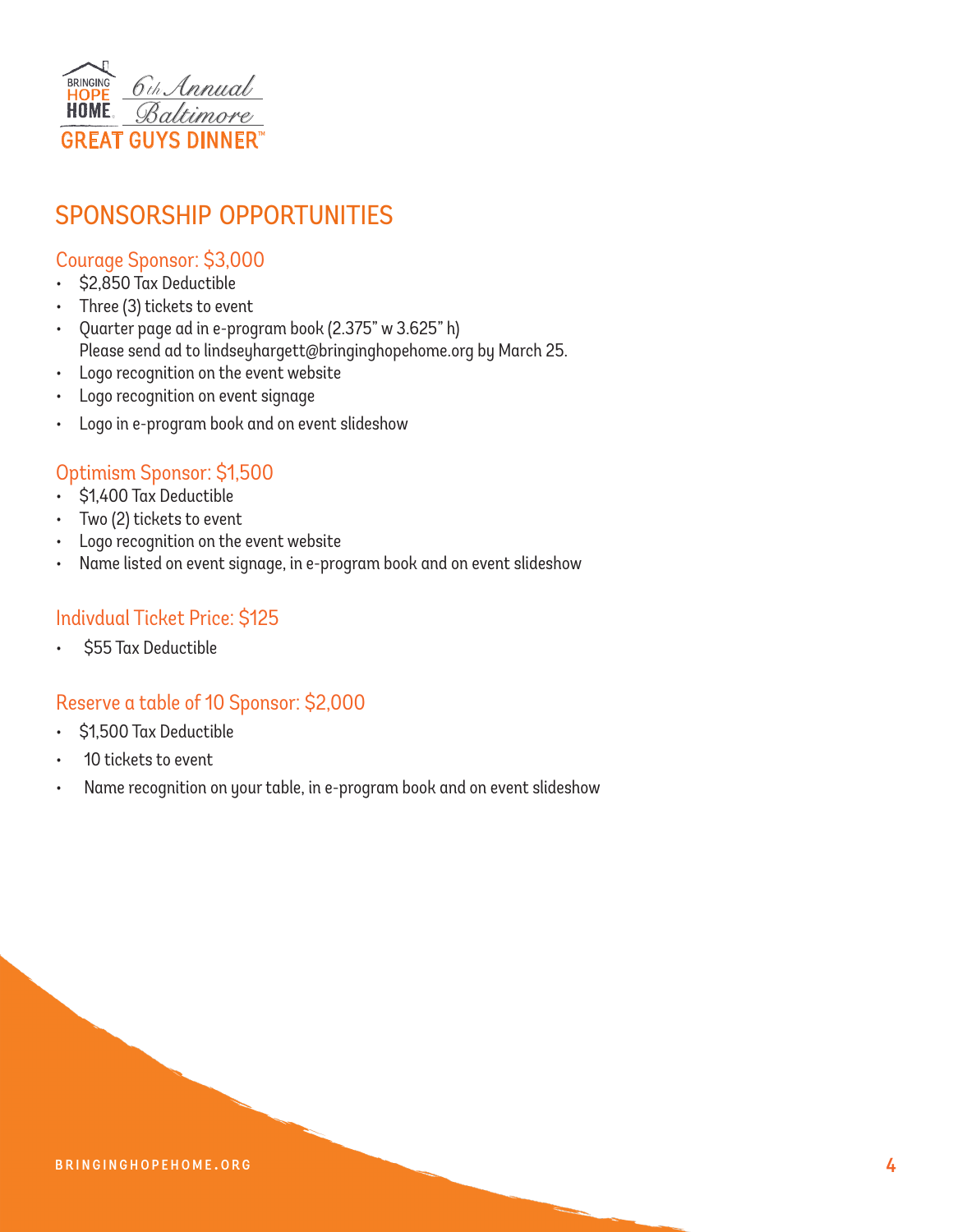

# sponsorship opportunities

#### Courage Sponsor: \$3,000

- \$2,850 Tax Deductible
- Three (3) tickets to event
- Quarter page ad in e-program book (2.375" w 3.625" h) Please send ad to lindseyhargett@bringinghopehome.org by March 25.
- Logo recognition on the event website
- Logo recognition on event signage
- Logo in e-program book and on event slideshow

#### Optimism Sponsor: \$1,500

- \$1,400 Tax Deductible
- Two (2) tickets to event
- Logo recognition on the event website
- Name listed on event signage, in e-program book and on event slideshow

#### Indivdual Ticket Price: \$125

• \$55 Tax Deductible

#### Reserve a table of 10 Sponsor: \$2,000

- \$1,500 Tax Deductible
- 10 tickets to event
- Name recognition on your table, in e-program book and on event slideshow

#### BRINGINGHOPEHOME.ORG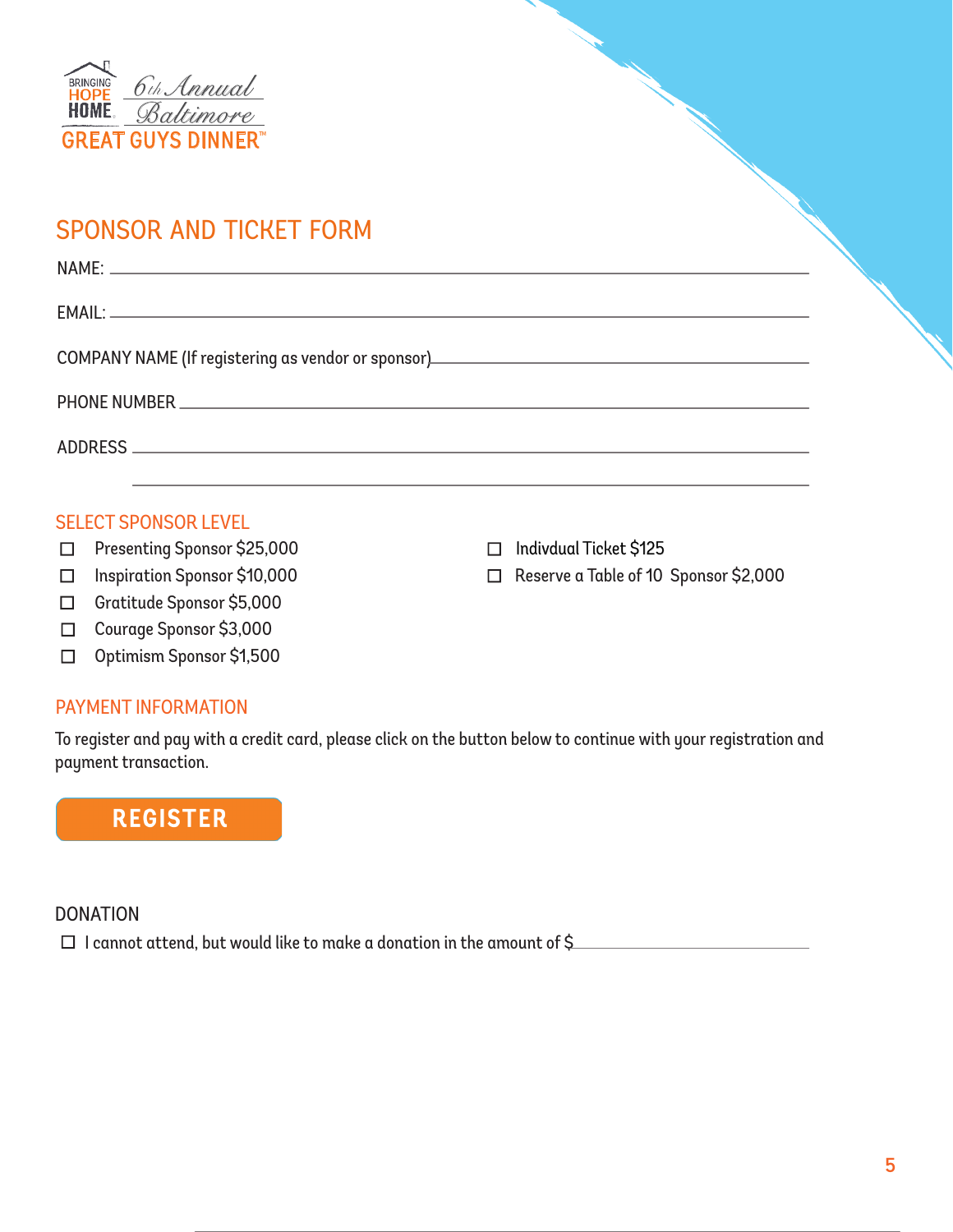

## sponsor and ticket form

| COMPANY NAME (If registering as vendor or sponsor)______________________________ |
|----------------------------------------------------------------------------------|
|                                                                                  |
|                                                                                  |
|                                                                                  |

#### SELECT SPONSOR LEVEL

- $\Box$  Presenting Sponsor \$25,000
- □ Inspiration Sponsor \$10,000
- □ Gratitude Sponsor \$5,000
- □ Courage Sponsor \$3,000
- □ Optimism Sponsor \$1,500

#### PAYMENT INFORMATION

To register and pay with a credit card, please click on the button below to continue with your registration and payment transaction.

## **REGISTER**

#### **DONATION**

 $\Box$  I cannot attend, but would like to make a donation in the amount of \$

□ Indivdual Ticket \$125

n Reserve a Table of 10 Sponsor \$2,000